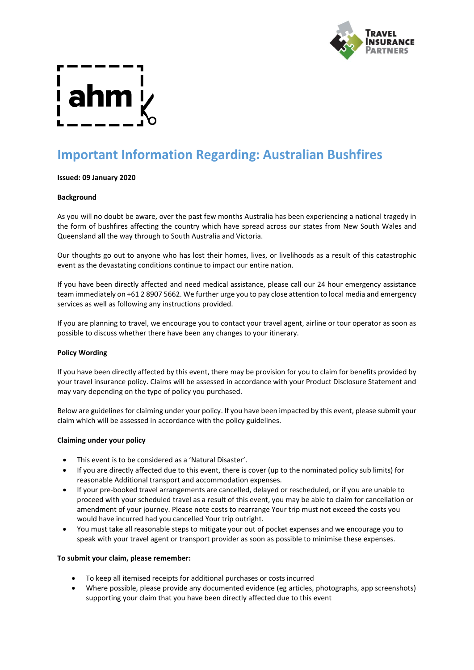

# **Important Information Regarding: Australian Bushfires**

# **Issued: 09 January 2020**

# **Background**

As you will no doubt be aware, over the past few months Australia has been experiencing a national tragedy in the form of bushfires affecting the country which have spread across our states from New South Wales and Queensland all the way through to South Australia and Victoria.

Our thoughts go out to anyone who has lost their homes, lives, or livelihoods as a result of this catastrophic event as the devastating conditions continue to impact our entire nation.

If you have been directly affected and need medical assistance, please call our 24 hour emergency assistance team immediately on +61 2 8907 5662. We further urge you to pay close attention to local media and emergency services as well as following any instructions provided.

If you are planning to travel, we encourage you to contact your travel agent, airline or tour operator as soon as possible to discuss whether there have been any changes to your itinerary.

# **Policy Wording**

If you have been directly affected by this event, there may be provision for you to claim for benefits provided by your travel insurance policy. Claims will be assessed in accordance with your Product Disclosure Statement and may vary depending on the type of policy you purchased.

Below are guidelines for claiming under your policy. If you have been impacted by this event, please submit your claim which will be assessed in accordance with the policy guidelines.

# **Claiming under your policy**

- This event is to be considered as a 'Natural Disaster'.
- If you are directly affected due to this event, there is cover (up to the nominated policy sub limits) for reasonable Additional transport and accommodation expenses.
- If your pre-booked travel arrangements are cancelled, delayed or rescheduled, or if you are unable to proceed with your scheduled travel as a result of this event, you may be able to claim for cancellation or amendment of your journey. Please note costs to rearrange Your trip must not exceed the costs you would have incurred had you cancelled Your trip outright.
- You must take all reasonable steps to mitigate your out of pocket expenses and we encourage you to speak with your travel agent or transport provider as soon as possible to minimise these expenses.

### **To submit your claim, please remember:**

- To keep all itemised receipts for additional purchases or costs incurred
- Where possible, please provide any documented evidence (eg articles, photographs, app screenshots) supporting your claim that you have been directly affected due to this event